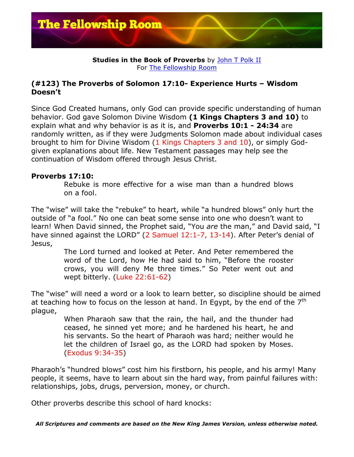

## **Studies in the Book of Proverbs** by John T Polk II For The Fellowship Room

## **(#123) The Proverbs of Solomon 17:10- Experience Hurts – Wisdom Doesn't**

Since God Created humans, only God can provide specific understanding of human behavior. God gave Solomon Divine Wisdom **(1 Kings Chapters 3 and 10)** to explain what and why behavior is as it is, and **Proverbs 10:1 - 24:34** are randomly written, as if they were Judgments Solomon made about individual cases brought to him for Divine Wisdom (1 Kings Chapters 3 and 10), or simply Godgiven explanations about life. New Testament passages may help see the continuation of Wisdom offered through Jesus Christ.

## **Proverbs 17:10:**

Rebuke is more effective for a wise man than a hundred blows on a fool.

The "wise" will take the "rebuke" to heart, while "a hundred blows" only hurt the outside of "a fool." No one can beat some sense into one who doesn't want to learn! When David sinned, the Prophet said, "You *are* the man," and David said, "I have sinned against the LORD" (2 Samuel 12:1-7, 13-14). After Peter's denial of Jesus,

> The Lord turned and looked at Peter. And Peter remembered the word of the Lord, how He had said to him, "Before the rooster crows, you will deny Me three times." So Peter went out and wept bitterly. (Luke 22:61-62)

The "wise" will need a word or a look to learn better, so discipline should be aimed at teaching how to focus on the lesson at hand. In Egypt, by the end of the  $7<sup>th</sup>$ plague,

> When Pharaoh saw that the rain, the hail, and the thunder had ceased, he sinned yet more; and he hardened his heart, he and his servants. So the heart of Pharaoh was hard; neither would he let the children of Israel go, as the LORD had spoken by Moses. (Exodus 9:34-35)

Pharaoh's "hundred blows" cost him his firstborn, his people, and his army! Many people, it seems, have to learn about sin the hard way, from painful failures with: relationships, jobs, drugs, perversion, money, or church.

Other proverbs describe this school of hard knocks:

*All Scriptures and comments are based on the New King James Version, unless otherwise noted.*